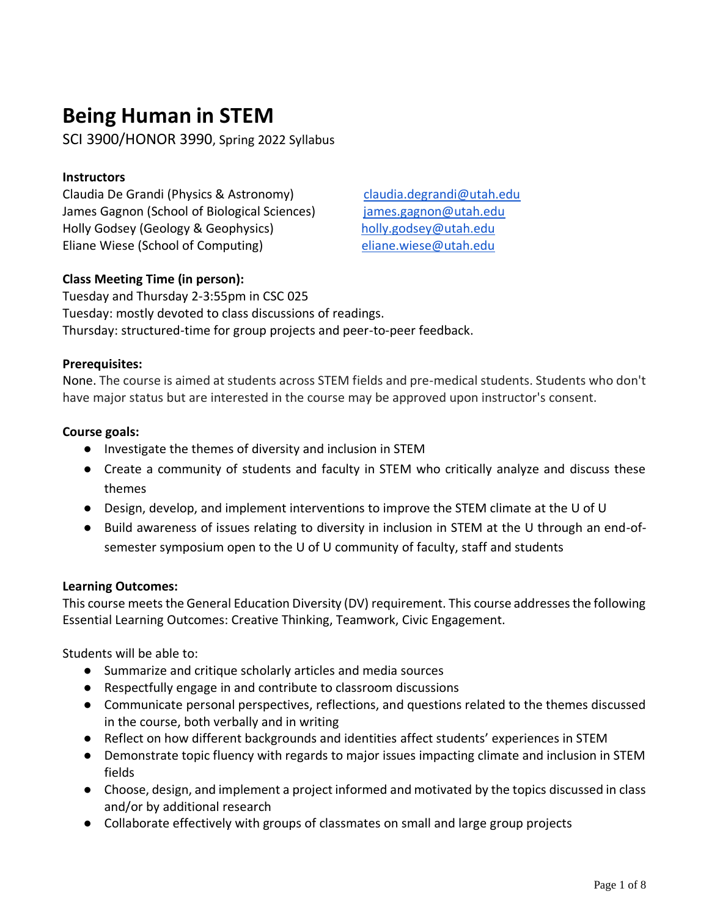# **Being Human in STEM**

SCI 3900/HONOR 3990, Spring 2022 Syllabus

## **Instructors**

Claudia De Grandi (Physics & Astronomy) [claudia.degrandi@utah.edu](mailto:claudia.degrandi@utah.edu) James Gagnon (School of Biological Sciences) [james.gagnon@utah.edu](mailto:james.gagnon@utah.edu) Holly Godsey (Geology & Geophysics) [holly.godsey@utah.edu](mailto:holly.godsey@utah.edu) Eliane Wiese (School of Computing) [eliane.wiese@utah.edu](mailto:eliane.wiese@utah.edu)

# **Class Meeting Time (in person):**

Tuesday and Thursday 2-3:55pm in CSC 025 Tuesday: mostly devoted to class discussions of readings. Thursday: structured-time for group projects and peer-to-peer feedback.

#### **Prerequisites:**

None. The course is aimed at students across STEM fields and pre-medical students. Students who don't have major status but are interested in the course may be approved upon instructor's consent.

## **Course goals:**

- Investigate the themes of diversity and inclusion in STEM
- Create a community of students and faculty in STEM who critically analyze and discuss these themes
- Design, develop, and implement interventions to improve the STEM climate at the U of U
- Build awareness of issues relating to diversity in inclusion in STEM at the U through an end-ofsemester symposium open to the U of U community of faculty, staff and students

#### **Learning Outcomes:**

This course meets the General Education Diversity (DV) requirement. This course addresses the following Essential Learning Outcomes: Creative Thinking, Teamwork, Civic Engagement.

Students will be able to:

- Summarize and critique scholarly articles and media sources
- Respectfully engage in and contribute to classroom discussions
- Communicate personal perspectives, reflections, and questions related to the themes discussed in the course, both verbally and in writing
- Reflect on how different backgrounds and identities affect students' experiences in STEM
- Demonstrate topic fluency with regards to major issues impacting climate and inclusion in STEM fields
- Choose, design, and implement a project informed and motivated by the topics discussed in class and/or by additional research
- Collaborate effectively with groups of classmates on small and large group projects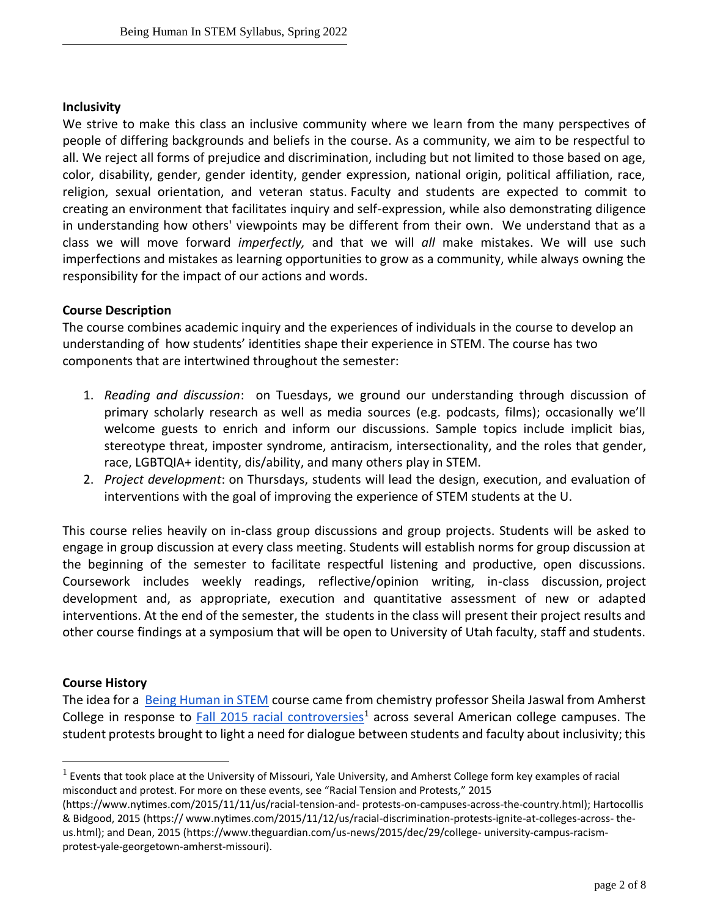#### **Inclusivity**

We strive to make this class an inclusive community where we learn from the many perspectives of people of differing backgrounds and beliefs in the course. As a community, we aim to be respectful to all. We reject all forms of prejudice and discrimination, including but not limited to those based on age, color, disability, gender, gender identity, gender expression, national origin, political affiliation, race, religion, sexual orientation, and veteran status. Faculty and students are expected to commit to creating an environment that facilitates inquiry and self-expression, while also demonstrating diligence in understanding how others' viewpoints may be different from their own. We understand that as a class we will move forward *imperfectly,* and that we will *all* make mistakes. We will use such imperfections and mistakes as learning opportunities to grow as a community, while always owning the responsibility for the impact of our actions and words.

#### **Course Description**

The course combines academic inquiry and the experiences of individuals in the course to develop an understanding of how students' identities shape their experience in STEM. The course has two components that are intertwined throughout the semester:

- 1. *Reading and discussion*: on Tuesdays, we ground our understanding through discussion of primary scholarly research as well as media sources (e.g. podcasts, films); occasionally we'll welcome guests to enrich and inform our discussions. Sample topics include implicit bias, stereotype threat, imposter syndrome, antiracism, intersectionality, and the roles that gender, race, LGBTQIA+ identity, dis/ability, and many others play in STEM.
- 2. *Project development*: on Thursdays, students will lead the design, execution, and evaluation of interventions with the goal of improving the experience of STEM students at the U.

This course relies heavily on in-class group discussions and group projects. Students will be asked to engage in group discussion at every class meeting. Students will establish norms for group discussion at the beginning of the semester to facilitate respectful listening and productive, open discussions. Coursework includes weekly readings, reflective/opinion writing, in-class discussion, project development and, as appropriate, execution and quantitative assessment of new or adapted interventions. At the end of the semester, the students in the class will present their project results and other course findings at a symposium that will be open to University of Utah faculty, staff and students.

#### **Course History**

The idea for a [Being Human in STEM](https://www.aacu.org/diversitydemocracy/2019/winter/jaswal) course came from chemistry professor Sheila Jaswal from Amherst College in response to [Fall 2015 racial controversies](https://www.nytimes.com/2015/11/11/us/racial-tension-and-protests-on-campuses-across-the-country.html)<sup>1</sup> across several American college campuses. The student protests brought to light a need for dialogue between students and faculty about inclusivity; this

 $^1$  Events that took place at the University of Missouri, Yale University, and Amherst College form key examples of racial misconduct and protest. For more on these events, see "Racial Tension and Protests," 2015

<sup>(</sup>https://www.nytimes.com/2015/11/11/us/racial-tension-and- protests-on-campuses-across-the-country.html); Hartocollis & Bidgood, 2015 (https:// www.nytimes.com/2015/11/12/us/racial-discrimination-protests-ignite-at-colleges-across- theus.html); and Dean, 2015 (https://www.theguardian.com/us-news/2015/dec/29/college- university-campus-racismprotest-yale-georgetown-amherst-missouri).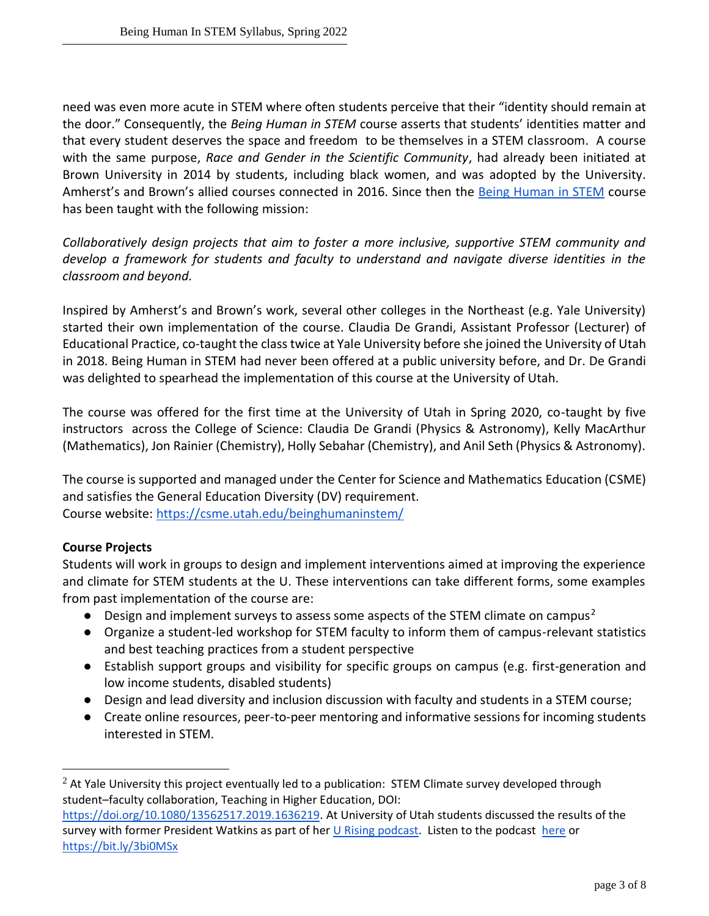need was even more acute in STEM where often students perceive that their "identity should remain at the door." Consequently, the *Being Human in STEM* course asserts that students' identities matter and that every student deserves the space and freedom to be themselves in a STEM classroom. A course with the same purpose, *Race and Gender in the Scientific Community*, had already been initiated at Brown University in 2014 by students, including black women, and was adopted by the University. Amherst's and Brown's allied courses connected in 2016. Since then the [Being Human in STEM](http://www.beinghumaninstem.com/) course has been taught with the following mission:

*Collaboratively design projects that aim to foster a more inclusive, supportive STEM community and develop a framework for students and faculty to understand and navigate diverse identities in the classroom and beyond.*

Inspired by Amherst's and Brown's work, several other colleges in the Northeast (e.g. Yale University) started their own implementation of the course. Claudia De Grandi, Assistant Professor (Lecturer) of Educational Practice, co-taught the class twice at Yale University before she joined the University of Utah in 2018. Being Human in STEM had never been offered at a public university before, and Dr. De Grandi was delighted to spearhead the implementation of this course at the University of Utah.

The course was offered for the first time at the University of Utah in Spring 2020, co-taught by five instructors across the College of Science: Claudia De Grandi (Physics & Astronomy), Kelly MacArthur (Mathematics), Jon Rainier (Chemistry), Holly Sebahar (Chemistry), and Anil Seth (Physics & Astronomy).

The course is supported and managed under the Center for Science and Mathematics Education (CSME) and satisfies the General Education Diversity (DV) requirement. Course website:<https://csme.utah.edu/beinghumaninstem/>

# **Course Projects**

Students will work in groups to design and implement interventions aimed at improving the experience and climate for STEM students at the U. These interventions can take different forms, some examples from past implementation of the course are:

- **•** Design and implement surveys to assess some aspects of the STEM climate on campus<sup>2</sup>
- Organize a student-led workshop for STEM faculty to inform them of campus-relevant statistics and best teaching practices from a student perspective
- Establish support groups and visibility for specific groups on campus (e.g. first-generation and low income students, disabled students)
- Design and lead diversity and inclusion discussion with faculty and students in a STEM course;
- Create online resources, peer-to-peer mentoring and informative sessions for incoming students interested in STEM.

 $<sup>2</sup>$  At Yale University this project eventually led to a publication: STEM Climate survey developed through</sup> student–faculty collaboration, Teaching in Higher Education, DOI: [https://doi.org/10.1080/13562517.2019.1636219.](https://doi.org/10.1080/13562517.2019.1636219) At University of Utah students discussed the results of the survey with former President Watkins as part of her [U Rising podcast.](https://twitter.com/RuthVWatkins/status/1251170039455027201) Listen to the podcast [here](https://www.stitcher.com/show/u-rising/episode/being-human-in-stem-68900643) or <https://bit.ly/3bi0MSx>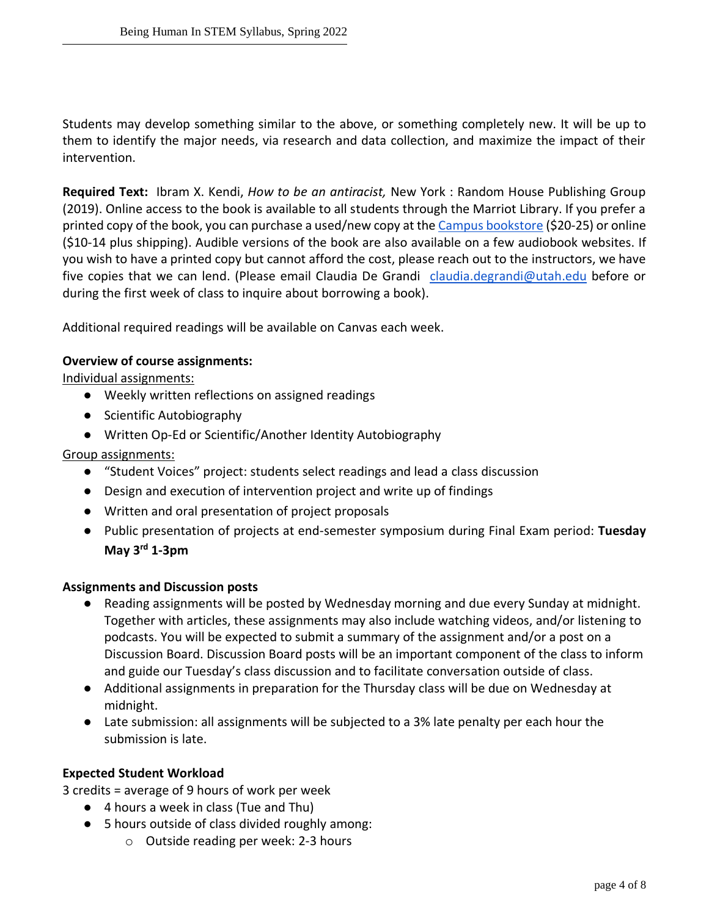Students may develop something similar to the above, or something completely new. It will be up to them to identify the major needs, via research and data collection, and maximize the impact of their intervention.

**Required Text:** Ibram X. Kendi, *How to be an antiracist,* New York : Random House Publishing Group (2019). Online access to the book is available to all students through the Marriot Library. If you prefer a printed copy of the book, you can purchase a used/new copy at th[e Campus bookstore](https://www.campusstore.utah.edu/utah/CourseMaterials?ids=10851897,10844630,10843426&search=how%20to%20be%20an%20antiracist) (\$20-25) or online (\$10-14 plus shipping). Audible versions of the book are also available on a few audiobook websites. If you wish to have a printed copy but cannot afford the cost, please reach out to the instructors, we have five copies that we can lend. (Please email Claudia De Grandi [claudia.degrandi@utah.edu](mailto:claudia.degrandi@utah.edu) before or during the first week of class to inquire about borrowing a book).

Additional required readings will be available on Canvas each week.

#### **Overview of course assignments:**

Individual assignments:

- Weekly written reflections on assigned readings
- Scientific Autobiography
- Written Op-Ed or Scientific/Another Identity Autobiography

# Group assignments:

- "Student Voices" project: students select readings and lead a class discussion
- Design and execution of intervention project and write up of findings
- Written and oral presentation of project proposals
- Public presentation of projects at end-semester symposium during Final Exam period: **Tuesday May 3rd 1-3pm**

#### **Assignments and Discussion posts**

- Reading assignments will be posted by Wednesday morning and due every Sunday at midnight. Together with articles, these assignments may also include watching videos, and/or listening to podcasts. You will be expected to submit a summary of the assignment and/or a post on a Discussion Board. Discussion Board posts will be an important component of the class to inform and guide our Tuesday's class discussion and to facilitate conversation outside of class.
- Additional assignments in preparation for the Thursday class will be due on Wednesday at midnight.
- Late submission: all assignments will be subjected to a 3% late penalty per each hour the submission is late.

#### **Expected Student Workload**

3 credits = average of 9 hours of work per week

- 4 hours a week in class (Tue and Thu)
- 5 hours outside of class divided roughly among:
	- o Outside reading per week: 2-3 hours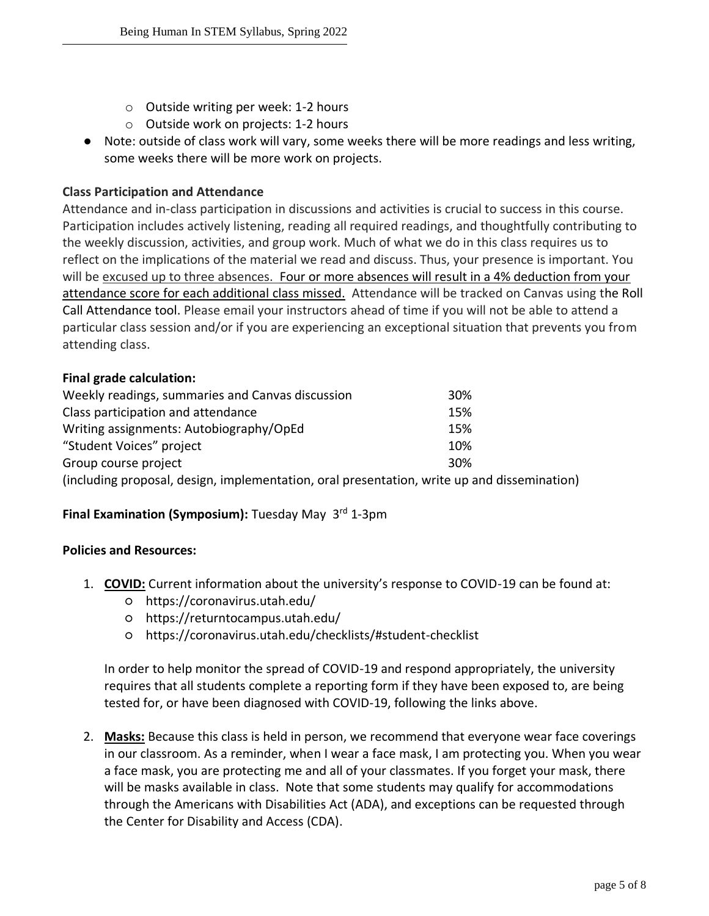- o Outside writing per week: 1-2 hours
- o Outside work on projects: 1-2 hours
- Note: outside of class work will vary, some weeks there will be more readings and less writing, some weeks there will be more work on projects.

#### **Class Participation and Attendance**

Attendance and in-class participation in discussions and activities is crucial to success in this course. Participation includes actively listening, reading all required readings, and thoughtfully contributing to the weekly discussion, activities, and group work. Much of what we do in this class requires us to reflect on the implications of the material we read and discuss. Thus, your presence is important. You will be excused up to three absences. Four or more absences will result in a 4% deduction from your attendance score for each additional class missed. Attendance will be tracked on Canvas using the Roll Call Attendance tool. Please email your instructors ahead of time if you will not be able to attend a particular class session and/or if you are experiencing an exceptional situation that prevents you from attending class.

#### **Final grade calculation:**

| Weekly readings, summaries and Canvas discussion                                            | 30% |
|---------------------------------------------------------------------------------------------|-----|
| Class participation and attendance                                                          | 15% |
| Writing assignments: Autobiography/OpEd                                                     | 15% |
| "Student Voices" project                                                                    | 10% |
| Group course project                                                                        | 30% |
| (including proposal, design, implementation, oral presentation, write up and dissemination) |     |

#### **Final Examination (Symposium):** Tuesday May 3<sup>rd</sup> 1-3pm

#### **Policies and Resources:**

- 1. **COVID:** Current information about the university's response to COVID-19 can be found at:
	- https://coronavirus.utah.edu/
	- https://returntocampus.utah.edu/
	- https://coronavirus.utah.edu/checklists/#student-checklist

In order to help monitor the spread of COVID-19 and respond appropriately, the university requires that all students complete a reporting form if they have been exposed to, are being tested for, or have been diagnosed with COVID-19, following the links above.

2. **Masks:** Because this class is held in person, we recommend that everyone wear face coverings in our classroom. As a reminder, when I wear a face mask, I am protecting you. When you wear a face mask, you are protecting me and all of your classmates. If you forget your mask, there will be masks available in class. Note that some students may qualify for accommodations through the Americans with Disabilities Act (ADA), and exceptions can be requested through the Center for Disability and Access (CDA).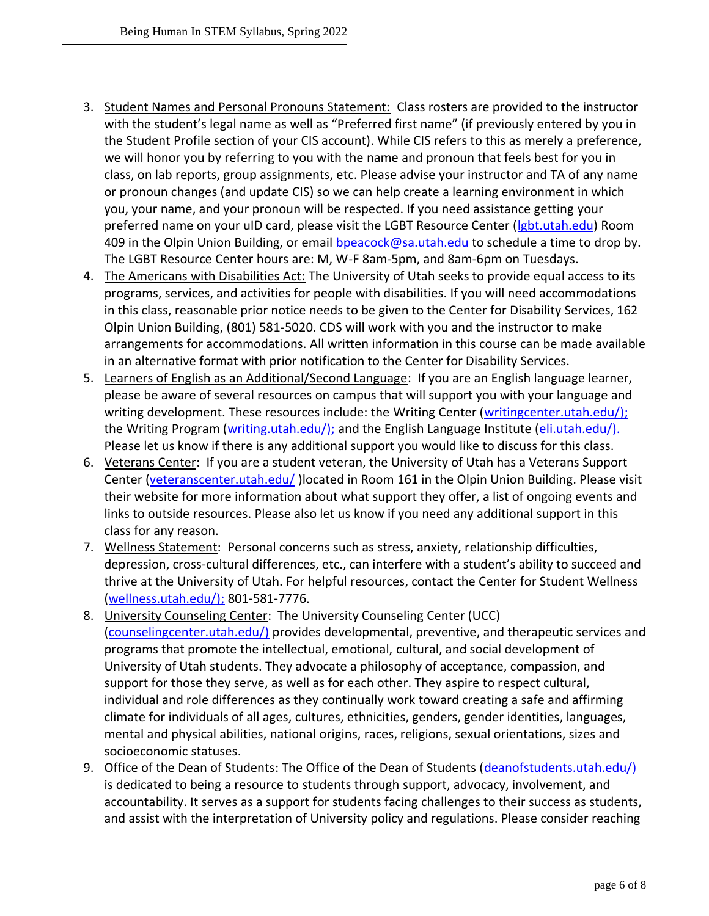- 3. Student Names and Personal Pronouns Statement: Class rosters are provided to the instructor with the student's legal name as well as "Preferred first name" (if previously entered by you in the Student Profile section of your CIS account). While CIS refers to this as merely a preference, we will honor you by referring to you with the name and pronoun that feels best for you in class, on lab reports, group assignments, etc. Please advise your instructor and TA of any name or pronoun changes (and update CIS) so we can help create a learning environment in which you, your name, and your pronoun will be respected. If you need assistance getting your preferred name on your uID card, please visit the LGBT Resource Center [\(lgbt.utah.edu\)](https://lgbt.utah.edu/) Room 409 in the Olpin Union Building, or email [bpeacock@sa.utah.edu](mailto:bpeacock@sa.utah.edu) to schedule a time to drop by. The LGBT Resource Center hours are: M, W-F 8am-5pm, and 8am-6pm on Tuesdays.
- 4. The Americans with Disabilities Act: The University of Utah seeks to provide equal access to its programs, services, and activities for people with disabilities. If you will need accommodations in this class, reasonable prior notice needs to be given to the Center for Disability Services, 162 Olpin Union Building, (801) 581-5020. CDS will work with you and the instructor to make arrangements for accommodations. All written information in this course can be made available in an alternative format with prior notification to the Center for Disability Services.
- 5. Learners of English as an Additional/Second Language: If you are an English language learner, please be aware of several resources on campus that will support you with your language and writing development. These resources include: the Writing Center [\(writingcenter.utah.edu/\);](http://writingcenter.utah.edu/) the Writing Program [\(writing.utah.edu/\);](http://writing.utah.edu/) and the English Language Institute [\(eli.utah.edu/\).](http://eli.utah.edu/) Please let us know if there is any additional support you would like to discuss for this class.
- 6. Veterans Center: If you are a student veteran, the University of Utah has a Veterans Support Center [\(veteranscenter.utah.edu/](http://veteranscenter.utah.edu/) )located in Room 161 in the Olpin Union Building. Please visit their website for more information about what support they offer, a list of ongoing events and links to outside resources. Please also let us know if you need any additional support in this class for any reason.
- 7. Wellness Statement: Personal concerns such as stress, anxiety, relationship difficulties, depression, cross-cultural differences, etc., can interfere with a student's ability to succeed and thrive at the University of Utah. For helpful resources, contact the Center for Student Wellness [\(wellness.utah.edu/\);](http://wellness.utah.edu/) 801-581-7776.
- 8. University Counseling Center: The University Counseling Center (UCC) [\(counselingcenter.utah.edu/\)](http://counselingcenter.utah.edu/) provides developmental, preventive, and therapeutic services and programs that promote the intellectual, emotional, cultural, and social development of University of Utah students. They advocate a philosophy of acceptance, compassion, and support for those they serve, as well as for each other. They aspire to respect cultural, individual and role differences as they continually work toward creating a safe and affirming climate for individuals of all ages, cultures, ethnicities, genders, gender identities, languages, mental and physical abilities, national origins, races, religions, sexual orientations, sizes and socioeconomic statuses.
- 9. Office of the Dean of Students: The Office of the Dean of Students [\(deanofstudents.utah.edu/\)](http://deanofstudents.utah.edu/) is dedicated to being a resource to students through support, advocacy, involvement, and accountability. It serves as a support for students facing challenges to their success as students, and assist with the interpretation of University policy and regulations. Please consider reaching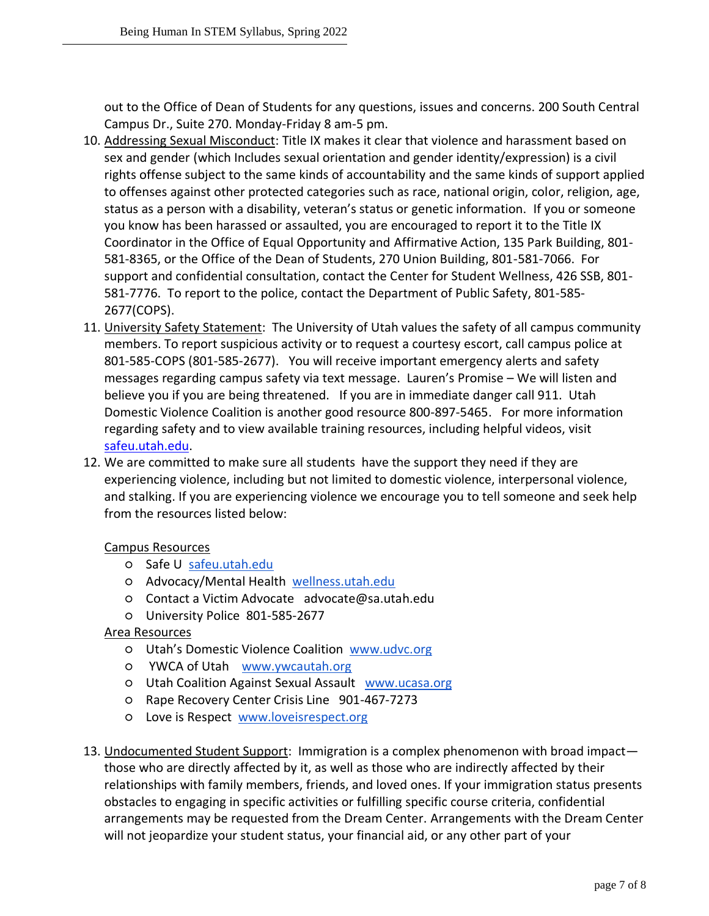out to the Office of Dean of Students for any questions, issues and concerns. 200 South Central Campus Dr., Suite 270. Monday-Friday 8 am-5 pm.

- 10. Addressing Sexual Misconduct: Title IX makes it clear that violence and harassment based on sex and gender (which Includes sexual orientation and gender identity/expression) is a civil rights offense subject to the same kinds of accountability and the same kinds of support applied to offenses against other protected categories such as race, national origin, color, religion, age, status as a person with a disability, veteran's status or genetic information. If you or someone you know has been harassed or assaulted, you are encouraged to report it to the Title IX Coordinator in the Office of Equal Opportunity and Affirmative Action, 135 Park Building, 801- 581-8365, or the Office of the Dean of Students, 270 Union Building, 801-581-7066. For support and confidential consultation, contact the Center for Student Wellness, 426 SSB, 801- 581-7776. To report to the police, contact the Department of Public Safety, 801-585- 2677(COPS).
- 11. University Safety Statement: The University of Utah values the safety of all campus community members. To report suspicious activity or to request a courtesy escort, call campus police at 801-585-COPS (801-585-2677). You will receive important emergency alerts and safety messages regarding campus safety via text message. Lauren's Promise – We will listen and believe you if you are being threatened. If you are in immediate danger call 911. Utah Domestic Violence Coalition is another good resource 800-897-5465. For more information regarding safety and to view available training resources, including helpful videos, visit [safeu.utah.edu.](http://safeu.utah.edu/)
- 12. We are committed to make sure all students have the support they need if they are experiencing violence, including but not limited to domestic violence, interpersonal violence, and stalking. If you are experiencing violence we encourage you to tell someone and seek help from the resources listed below:

# Campus Resources

- o Safe U [safeu.utah.edu](https://safeu.utah.edu/)
- Advocacy/Mental Health [wellness.utah.edu](https://wellness.utah.edu/)
- Contact a Victim Advocate advocate@sa.utah.edu
- University Police 801-585-2677

# Area Resources

- Utah's Domestic Violence Coalition [www.udvc.org](http://www.udvc.org/)
- YWCA of Utah [www.ywcautah.org](http://www.ywcautah.org/)
- Utah Coalition Against Sexual Assault [www.ucasa.org](http://www.ucasa.org/)
- Rape Recovery Center Crisis Line 901-467-7273
- Love is Respect [www.loveisrespect.org](http://www.loveisrespect.org/)
- 13. Undocumented Student Support: Immigration is a complex phenomenon with broad impact those who are directly affected by it, as well as those who are indirectly affected by their relationships with family members, friends, and loved ones. If your immigration status presents obstacles to engaging in specific activities or fulfilling specific course criteria, confidential arrangements may be requested from the Dream Center. Arrangements with the Dream Center will not jeopardize your student status, your financial aid, or any other part of your